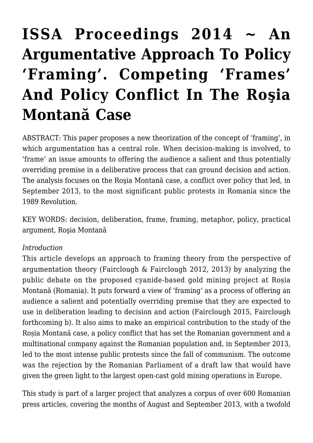# **[ISSA Proceedings 2014 ~ An](https://rozenbergquarterly.com/issa-proceedings-2014-an-argumentative-approach-to-policy-framing-competing-frames-and-policy-conflict-in-the-rosia-montana-case/) [Argumentative Approach To Policy](https://rozenbergquarterly.com/issa-proceedings-2014-an-argumentative-approach-to-policy-framing-competing-frames-and-policy-conflict-in-the-rosia-montana-case/) ['Framing'. Competing 'Frames'](https://rozenbergquarterly.com/issa-proceedings-2014-an-argumentative-approach-to-policy-framing-competing-frames-and-policy-conflict-in-the-rosia-montana-case/) [And Policy Conflict In The Roşia](https://rozenbergquarterly.com/issa-proceedings-2014-an-argumentative-approach-to-policy-framing-competing-frames-and-policy-conflict-in-the-rosia-montana-case/) [Montană Case](https://rozenbergquarterly.com/issa-proceedings-2014-an-argumentative-approach-to-policy-framing-competing-frames-and-policy-conflict-in-the-rosia-montana-case/)**

ABSTRACT: This paper proposes a new theorization of the concept of 'framing', in which argumentation has a central role. When decision-making is involved, to 'frame' an issue amounts to offering the audience a salient and thus potentially overriding premise in a deliberative process that can ground decision and action. The analysis focuses on the Roşia Montană case, a conflict over policy that led, in September 2013, to the most significant public protests in Romania since the 1989 Revolution.

KEY WORDS: decision, deliberation, frame, framing, metaphor, policy, practical argument, Roşia Montană

#### *Introduction*

This article develops an approach to framing theory from the perspective of argumentation theory (Fairclough & Fairclough 2012, 2013) by analyzing the public debate on the proposed cyanide-based gold mining project at Roșia Montană (Romania). It puts forward a view of 'framing' as a process of offering an audience a salient and potentially overriding premise that they are expected to use in deliberation leading to decision and action (Fairclough 2015, Fairclough forthcoming b). It also aims to make an empirical contribution to the study of the Roșia Montană case, a policy conflict that has set the Romanian government and a multinational company against the Romanian population and, in September 2013, led to the most intense public protests since the fall of communism. The outcome was the rejection by the Romanian Parliament of a draft law that would have given the green light to the largest open-cast gold mining operations in Europe.

This study is part of a larger project that analyzes a corpus of over 600 Romanian press articles, covering the months of August and September 2013, with a twofold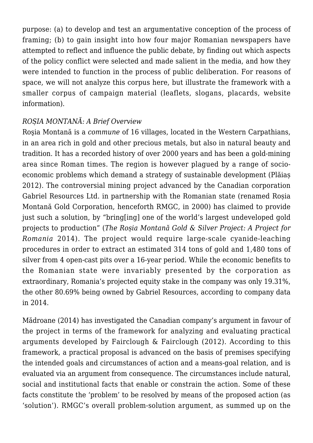purpose: (a) to develop and test an argumentative conception of the process of framing; (b) to gain insight into how four major Romanian newspapers have attempted to reflect and influence the public debate, by finding out which aspects of the policy conflict were selected and made salient in the media, and how they were intended to function in the process of public deliberation. For reasons of space, we will not analyze this corpus here, but illustrate the framework with a smaller corpus of campaign material (leaflets, slogans, placards, website information).

#### *ROȘIA MONTANĂ: A Brief Overview*

Roşia Montană is a *commune* of 16 villages, located in the Western Carpathians, in an area rich in gold and other precious metals, but also in natural beauty and tradition. It has a recorded history of over 2000 years and has been a gold-mining area since Roman times. The region is however plagued by a range of socioeconomic problems which demand a strategy of sustainable development (Plăiaș 2012). The controversial mining project advanced by the Canadian corporation Gabriel Resources Ltd. in partnership with the Romanian state (renamed Roșia Montană Gold Corporation, henceforth RMGC, in 2000) has claimed to provide just such a solution, by "bring[ing] one of the world's largest undeveloped gold projects to production" (*The Roșia Montană Gold & Silver Project: A Project for Romania* 2014). The project would require large-scale cyanide-leaching procedures in order to extract an estimated 314 tons of gold and 1,480 tons of silver from 4 open-cast pits over a 16-year period. While the economic benefits to the Romanian state were invariably presented by the corporation as extraordinary, Romania's projected equity stake in the company was only 19.31%, the other 80.69% being owned by Gabriel Resources, according to company data in 2014.

Mădroane (2014) has investigated the Canadian company's argument in favour of the project in terms of the framework for analyzing and evaluating practical arguments developed by Fairclough & Fairclough (2012). According to this framework, a practical proposal is advanced on the basis of premises specifying the intended goals and circumstances of action and a means-goal relation, and is evaluated via an argument from consequence. The circumstances include natural, social and institutional facts that enable or constrain the action. Some of these facts constitute the 'problem' to be resolved by means of the proposed action (as 'solution'). RMGC's overall problem-solution argument, as summed up on the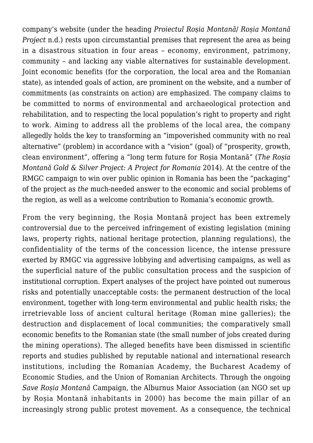company's website (under the heading *Proiectul Roșia Montană*/ *Roșia Montană Project* n.d.) rests upon circumstantial premises that represent the area as being in a disastrous situation in four areas – economy, environment, patrimony, community – and lacking any viable alternatives for sustainable development. Joint economic benefits (for the corporation, the local area and the Romanian state), as intended goals of action, are prominent on the website, and a number of commitments (as constraints on action) are emphasized. The company claims to be committed to norms of environmental and archaeological protection and rehabilitation, and to respecting the local population's right to property and right to work. Aiming to address all the problems of the local area, the company allegedly holds the key to transforming an "impoverished community with no real alternative" (problem) in accordance with a "vision" (goal) of "prosperity, growth, clean environment", offering a "long term future for Roșia Montană" (*The Roșia Montană Gold & Silver Project: A Project for Romania* 2014). At the centre of the RMGC campaign to win over public opinion in Romania has been the "packaging" of the project as *the* much-needed answer to the economic and social problems of the region, as well as a welcome contribution to Romania's economic growth.

From the very beginning, the Roșia Montană project has been extremely controversial due to the perceived infringement of existing legislation (mining laws, property rights, national heritage protection, planning regulations), the confidentiality of the terms of the concession licence, the intense pressure exerted by RMGC via aggressive lobbying and advertising campaigns, as well as the superficial nature of the public consultation process and the suspicion of institutional corruption. Expert analyses of the project have pointed out numerous risks and potentially unacceptable costs: the permanent destruction of the local environment, together with long-term environmental and public health risks; the irretrievable loss of ancient cultural heritage (Roman mine galleries); the destruction and displacement of local communities; the comparatively small economic benefits to the Romanian state (the small number of jobs created during the mining operations). The alleged benefits have been dismissed in scientific reports and studies published by reputable national and international research institutions, including the Romanian Academy, the Bucharest Academy of Economic Studies, and the Union of Romanian Architects. Through the ongoing *Save Roșia Montană* Campaign, the Alburnus Maior Association (an NGO set up by Roșia Montană inhabitants in 2000) has become the main pillar of an increasingly strong public protest movement. As a consequence, the technical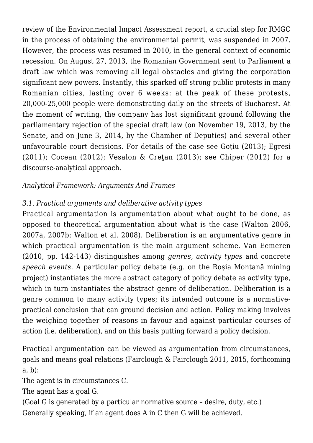review of the Environmental Impact Assessment report, a crucial step for RMGC in the process of obtaining the environmental permit, was suspended in 2007. However, the process was resumed in 2010, in the general context of economic recession. On August 27, 2013, the Romanian Government sent to Parliament a draft law which was removing all legal obstacles and giving the corporation significant new powers. Instantly, this sparked off strong public protests in many Romanian cities, lasting over 6 weeks: at the peak of these protests, 20,000-25,000 people were demonstrating daily on the streets of Bucharest. At the moment of writing, the company has lost significant ground following the parliamentary rejection of the special draft law (on November 19, 2013, by the Senate, and on June 3, 2014, by the Chamber of Deputies) and several other unfavourable court decisions. For details of the case see Gotiu (2013); Egresi (2011); Cocean (2012); Vesalon & Creţan (2013); see Chiper (2012) for a discourse-analytical approach.

# *Analytical Framework: Arguments And Frames*

# *3.1. Practical arguments and deliberative activity types*

Practical argumentation is argumentation about what ought to be done, as opposed to theoretical argumentation about what is the case (Walton 2006, 2007a, 2007b; Walton et al. 2008). Deliberation is an argumentative genre in which practical argumentation is the main argument scheme. Van Eemeren (2010, pp. 142-143) distinguishes among *genres*, *activity types* and concrete *speech events*. A particular policy debate (e.g. on the Roșia Montană mining project) instantiates the more abstract category of policy debate as activity type, which in turn instantiates the abstract genre of deliberation. Deliberation is a genre common to many activity types; its intended outcome is a normativepractical conclusion that can ground decision and action. Policy making involves the weighing together of reasons in favour and against particular courses of action (i.e. deliberation), and on this basis putting forward a policy decision.

Practical argumentation can be viewed as argumentation from circumstances, goals and means goal relations (Fairclough & Fairclough 2011, 2015, forthcoming a, b):

The agent is in circumstances C.

The agent has a goal G.

(Goal G is generated by a particular normative source – desire, duty, etc.) Generally speaking, if an agent does A in C then G will be achieved.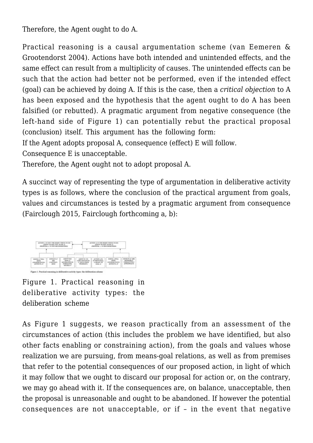Therefore, the Agent ought to do A.

Practical reasoning is a causal argumentation scheme (van Eemeren & Grootendorst 2004). Actions have both intended and unintended effects, and the same effect can result from a multiplicity of causes. The unintended effects can be such that the action had better not be performed, even if the intended effect (goal) can be achieved by doing A. If this is the case, then a *critical objection* to A has been exposed and the hypothesis that the agent ought to do A has been falsified (or rebutted). A pragmatic argument from negative consequence (the left-hand side of Figure 1) can potentially rebut the practical proposal (conclusion) itself. This argument has the following form:

If the Agent adopts proposal A, consequence (effect) E will follow.

Consequence E is unacceptable.

Therefore, the Agent ought not to adopt proposal A.

A succinct way of representing the type of argumentation in deliberative activity types is as follows, where the conclusion of the practical argument from goals, values and circumstances is tested by a pragmatic argument from consequence (Fairclough 2015, Fairclough forthcoming a, b):



Figure 1. Practical reasoning in deliberative activity types: the deliberation scheme

As Figure 1 suggests, we reason practically from an assessment of the circumstances of action (this includes the problem we have identified, but also other facts enabling or constraining action), from the goals and values whose realization we are pursuing, from means-goal relations, as well as from premises that refer to the potential consequences of our proposed action, in light of which it may follow that we ought to discard our proposal for action or, on the contrary, we may go ahead with it. If the consequences are, on balance, unacceptable, then the proposal is unreasonable and ought to be abandoned. If however the potential consequences are not unacceptable, or if – in the event that negative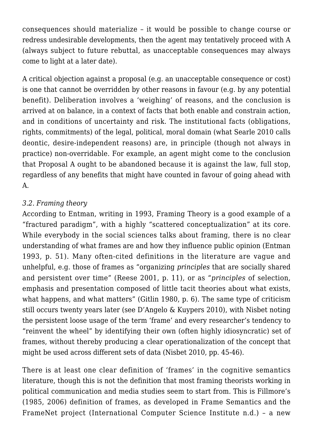consequences should materialize – it would be possible to change course or redress undesirable developments, then the agent may tentatively proceed with A (always subject to future rebuttal, as unacceptable consequences may always come to light at a later date).

A critical objection against a proposal (e.g. an unacceptable consequence or cost) is one that cannot be overridden by other reasons in favour (e.g. by any potential benefit). Deliberation involves a 'weighing' of reasons, and the conclusion is arrived at on balance, in a context of facts that both enable and constrain action, and in conditions of uncertainty and risk. The institutional facts (obligations, rights, commitments) of the legal, political, moral domain (what Searle 2010 calls deontic, desire-independent reasons) are, in principle (though not always in practice) non-overridable. For example, an agent might come to the conclusion that Proposal A ought to be abandoned because it is against the law, full stop, regardless of any benefits that might have counted in favour of going ahead with A.

# *3.2. Framing theory*

According to Entman, writing in 1993, Framing Theory is a good example of a "fractured paradigm", with a highly "scattered conceptualization" at its core. While everybody in the social sciences talks about framing, there is no clear understanding of what frames are and how they influence public opinion (Entman 1993, p. 51). Many often-cited definitions in the literature are vague and unhelpful, e.g. those of frames as "organizing *principles* that are socially shared and persistent over time" (Reese 2001, p. 11), or as "*principles* of selection, emphasis and presentation composed of little tacit theories about what exists, what happens, and what matters" (Gitlin 1980, p. 6). The same type of criticism still occurs twenty years later (see D'Angelo & Kuypers 2010), with Nisbet noting the persistent loose usage of the term 'frame' and every researcher's tendency to "reinvent the wheel" by identifying their own (often highly idiosyncratic) set of frames, without thereby producing a clear operationalization of the concept that might be used across different sets of data (Nisbet 2010, pp. 45-46).

There is at least one clear definition of 'frames' in the cognitive semantics literature, though this is not the definition that most framing theorists working in political communication and media studies seem to start from. This is Fillmore's (1985, 2006) definition of frames, as developed in Frame Semantics and the FrameNet project (International Computer Science Institute n.d.) – a new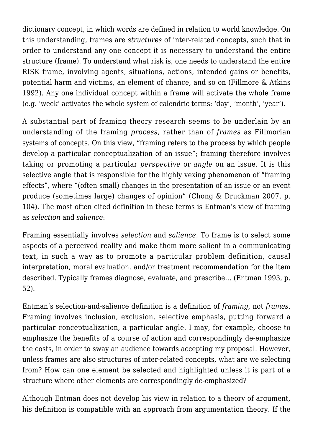dictionary concept, in which words are defined in relation to world knowledge. On this understanding, frames are *structures* of inter-related concepts, such that in order to understand any one concept it is necessary to understand the entire structure (frame). To understand what risk is, one needs to understand the entire RISK frame, involving agents, situations, actions, intended gains or benefits, potential harm and victims, an element of chance, and so on (Fillmore & Atkins 1992). Any one individual concept within a frame will activate the whole frame (e.g. 'week' activates the whole system of calendric terms: 'day', 'month', 'year').

A substantial part of framing theory research seems to be underlain by an understanding of the framing *process*, rather than of *frames* as Fillmorian systems of concepts. On this view, "framing refers to the process by which people develop a particular conceptualization of an issue"; framing therefore involves taking or promoting a particular *perspective* or *angle* on an issue. It is this selective angle that is responsible for the highly vexing phenomenon of "framing effects", where "(often small) changes in the presentation of an issue or an event produce (sometimes large) changes of opinion" (Chong & Druckman 2007, p. 104). The most often cited definition in these terms is Entman's view of framing as *selection* and *salience*:

Framing essentially involves *selection* and *salience.* To frame is to select some aspects of a perceived reality and make them more salient in a communicating text, in such a way as to promote a particular problem definition, causal interpretation, moral evaluation, and/or treatment recommendation for the item described. Typically frames diagnose, evaluate, and prescribe… (Entman 1993, p. 52).

Entman's selection-and-salience definition is a definition of *framing*, not *frames*. Framing involves inclusion, exclusion, selective emphasis, putting forward a particular conceptualization, a particular angle. I may, for example, choose to emphasize the benefits of a course of action and correspondingly de-emphasize the costs, in order to sway an audience towards accepting my proposal. However, unless frames are also structures of inter-related concepts, what are we selecting from? How can one element be selected and highlighted unless it is part of a structure where other elements are correspondingly de-emphasized?

Although Entman does not develop his view in relation to a theory of argument, his definition is compatible with an approach from argumentation theory. If the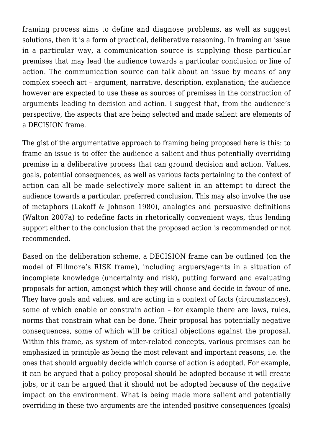framing process aims to define and diagnose problems, as well as suggest solutions, then it is a form of practical, deliberative reasoning. In framing an issue in a particular way, a communication source is supplying those particular premises that may lead the audience towards a particular conclusion or line of action. The communication source can talk about an issue by means of any complex speech act – argument, narrative, description, explanation; the audience however are expected to use these as sources of premises in the construction of arguments leading to decision and action. I suggest that, from the audience's perspective, the aspects that are being selected and made salient are elements of a DECISION frame.

The gist of the argumentative approach to framing being proposed here is this: to frame an issue is to offer the audience a salient and thus potentially overriding premise in a deliberative process that can ground decision and action. Values, goals, potential consequences, as well as various facts pertaining to the context of action can all be made selectively more salient in an attempt to direct the audience towards a particular, preferred conclusion. This may also involve the use of metaphors (Lakoff & Johnson 1980), analogies and persuasive definitions (Walton 2007a) to redefine facts in rhetorically convenient ways, thus lending support either to the conclusion that the proposed action is recommended or not recommended.

Based on the deliberation scheme, a DECISION frame can be outlined (on the model of Fillmore's RISK frame), including arguers/agents in a situation of incomplete knowledge (uncertainty and risk), putting forward and evaluating proposals for action, amongst which they will choose and decide in favour of one. They have goals and values, and are acting in a context of facts (circumstances), some of which enable or constrain action – for example there are laws, rules, norms that constrain what can be done. Their proposal has potentially negative consequences, some of which will be critical objections against the proposal. Within this frame, as system of inter-related concepts, various premises can be emphasized in principle as being the most relevant and important reasons, i.e. the ones that should arguably decide which course of action is adopted. For example, it can be argued that a policy proposal should be adopted because it will create jobs, or it can be argued that it should not be adopted because of the negative impact on the environment. What is being made more salient and potentially overriding in these two arguments are the intended positive consequences (goals)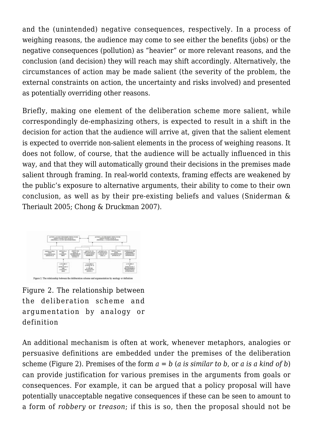and the (unintended) negative consequences, respectively. In a process of weighing reasons, the audience may come to see either the benefits (jobs) or the negative consequences (pollution) as "heavier" or more relevant reasons, and the conclusion (and decision) they will reach may shift accordingly. Alternatively, the circumstances of action may be made salient (the severity of the problem, the external constraints on action, the uncertainty and risks involved) and presented as potentially overriding other reasons.

Briefly, making one element of the deliberation scheme more salient, while correspondingly de-emphasizing others, is expected to result in a shift in the decision for action that the audience will arrive at, given that the salient element is expected to override non-salient elements in the process of weighing reasons. It does not follow, of course, that the audience will be actually influenced in this way, and that they will automatically ground their decisions in the premises made salient through framing. In real-world contexts, framing effects are weakened by the public's exposure to alternative arguments, their ability to come to their own conclusion, as well as by their pre-existing beliefs and values (Sniderman & Theriault 2005; Chong & Druckman 2007).



Figure 2. The relationship between the deliberation scheme and argumentation by analogy or definition

An additional mechanism is often at work, whenever metaphors, analogies or persuasive definitions are embedded under the premises of the deliberation scheme (Figure 2). Premises of the form *a = b* (*a is similar to b*, or *a is a kind of b*) can provide justification for various premises in the arguments from goals or consequences. For example, it can be argued that a policy proposal will have potentially unacceptable negative consequences if these can be seen to amount to a form of *robbery* or *treason*; if this is so, then the proposal should not be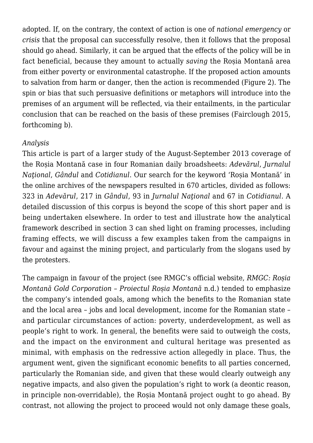adopted. If, on the contrary, the context of action is one of *national emergency* or *crisis* that the proposal can successfully resolve, then it follows that the proposal should go ahead. Similarly, it can be argued that the effects of the policy will be in fact beneficial, because they amount to actually *saving* the Roșia Montană area from either poverty or environmental catastrophe. If the proposed action amounts to salvation from harm or danger, then the action is recommended (Figure 2). The spin or bias that such persuasive definitions or metaphors will introduce into the premises of an argument will be reflected, via their entailments, in the particular conclusion that can be reached on the basis of these premises (Fairclough 2015, forthcoming b).

#### *Analysis*

This article is part of a larger study of the August-September 2013 coverage of the Roșia Montană case in four Romanian daily broadsheets: *Adevărul*, *Jurnalul Naţional*, *Gândul* and *Cotidianul*. Our search for the keyword 'Roșia Montană' in the online archives of the newspapers resulted in 670 articles, divided as follows: 323 in *Adevărul*, 217 in *Gândul*, 93 in *Jurnalul Naţional* and 67 in *Cotidianul.* A detailed discussion of this corpus is beyond the scope of this short paper and is being undertaken elsewhere. In order to test and illustrate how the analytical framework described in section 3 can shed light on framing processes, including framing effects, we will discuss a few examples taken from the campaigns in favour and against the mining project, and particularly from the slogans used by the protesters.

The campaign in favour of the project (see RMGC's official website, *RMGC: Roșia Montană Gold Corporation – Proiectul Roșia Montană* n.d.) tended to emphasize the company's intended goals, among which the benefits to the Romanian state and the local area – jobs and local development, income for the Romanian state – and particular circumstances of action: poverty, underdevelopment, as well as people's right to work. In general, the benefits were said to outweigh the costs, and the impact on the environment and cultural heritage was presented as minimal, with emphasis on the redressive action allegedly in place. Thus, the argument went, given the significant economic benefits to all parties concerned, particularly the Romanian side, and given that these would clearly outweigh any negative impacts, and also given the population's right to work (a deontic reason, in principle non-overridable), the Roșia Montană project ought to go ahead. By contrast, not allowing the project to proceed would not only damage these goals,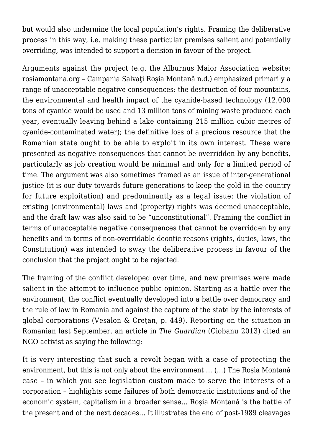but would also undermine the local population's rights. Framing the deliberative process in this way, i.e. making these particular premises salient and potentially overriding, was intended to support a decision in favour of the project.

Arguments against the project (e.g. the Alburnus Maior Association website: rosiamontana.org – Campania Salvati Rosia Montană n.d.) emphasized primarily a range of unacceptable negative consequences: the destruction of four mountains, the environmental and health impact of the cyanide-based technology (12,000 tons of cyanide would be used and 13 million tons of mining waste produced each year, eventually leaving behind a lake containing 215 million cubic metres of cyanide-contaminated water); the definitive loss of a precious resource that the Romanian state ought to be able to exploit in its own interest. These were presented as negative consequences that cannot be overridden by any benefits, particularly as job creation would be minimal and only for a limited period of time. The argument was also sometimes framed as an issue of inter-generational justice (it is our duty towards future generations to keep the gold in the country for future exploitation) and predominantly as a legal issue: the violation of existing (environmental) laws and (property) rights was deemed unacceptable, and the draft law was also said to be "unconstitutional". Framing the conflict in terms of unacceptable negative consequences that cannot be overridden by any benefits and in terms of non-overridable deontic reasons (rights, duties, laws, the Constitution) was intended to sway the deliberative process in favour of the conclusion that the project ought to be rejected.

The framing of the conflict developed over time, and new premises were made salient in the attempt to influence public opinion. Starting as a battle over the environment, the conflict eventually developed into a battle over democracy and the rule of law in Romania and against the capture of the state by the interests of global corporations (Vesalon & Creţan, p. 449). Reporting on the situation in Romanian last September, an article in *The Guardian* (Ciobanu 2013) cited an NGO activist as saying the following:

It is very interesting that such a revolt began with a case of protecting the environment, but this is not only about the environment … (…) The Roșia Montană case – in which you see legislation custom made to serve the interests of a corporation – highlights some failures of both democratic institutions and of the economic system, capitalism in a broader sense… Roșia Montană is the battle of the present and of the next decades… It illustrates the end of post-1989 cleavages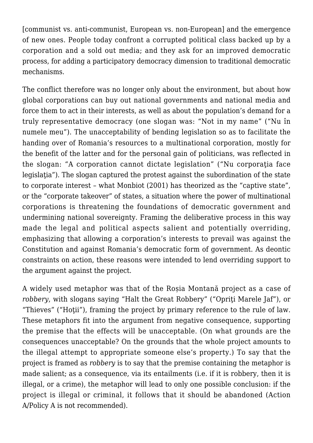[communist vs. anti-communist, European vs. non-European] and the emergence of new ones. People today confront a corrupted political class backed up by a corporation and a sold out media; and they ask for an improved democratic process, for adding a participatory democracy dimension to traditional democratic mechanisms.

The conflict therefore was no longer only about the environment, but about how global corporations can buy out national governments and national media and force them to act in their interests, as well as about the population's demand for a truly representative democracy (one slogan was: "Not in my name" ("Nu în numele meu"). The unacceptability of bending legislation so as to facilitate the handing over of Romania's resources to a multinational corporation, mostly for the benefit of the latter and for the personal gain of politicians, was reflected in the slogan: "A corporation cannot dictate legislation" ("Nu corporatia face legislatia"). The slogan captured the protest against the subordination of the state to corporate interest – what Monbiot (2001) has theorized as the "captive state", or the "corporate takeover" of states, a situation where the power of multinational corporations is threatening the foundations of democratic government and undermining national sovereignty. Framing the deliberative process in this way made the legal and political aspects salient and potentially overriding, emphasizing that allowing a corporation's interests to prevail was against the Constitution and against Romania's democratic form of government. As deontic constraints on action, these reasons were intended to lend overriding support to the argument against the project.

A widely used metaphor was that of the Roșia Montană project as a case of *robbery*, with slogans saying "Halt the Great Robbery" ("Opriţi Marele Jaf"), or "Thieves" ("Hoţii"), framing the project by primary reference to the rule of law. These metaphors fit into the argument from negative consequence, supporting the premise that the effects will be unacceptable. (On what grounds are the consequences unacceptable? On the grounds that the whole project amounts to the illegal attempt to appropriate someone else's property.) To say that the project is framed as *robbery* is to say that the premise containing the metaphor is made salient; as a consequence, via its entailments (i.e. if it is robbery, then it is illegal, or a crime), the metaphor will lead to only one possible conclusion: if the project is illegal or criminal, it follows that it should be abandoned (Action A/Policy A is not recommended).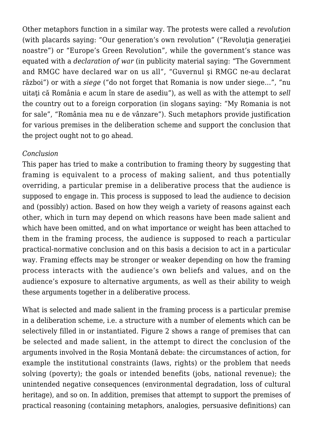Other metaphors function in a similar way. The protests were called a *revolution* (with placards saying: "Our generation's own revolution" ("Revolutia generatiei noastre") or "Europe's Green Revolution", while the government's stance was equated with a *declaration of war* (in publicity material saying: "The Government and RMGC have declared war on us all", "Guvernul şi RMGC ne-au declarat război") or with a *siege* ("do not forget that Romania is now under siege…", "nu uitaţi că România e acum în stare de asediu"), as well as with the attempt to *sell* the country out to a foreign corporation (in slogans saying: "My Romania is not for sale", "România mea nu e de vânzare"). Such metaphors provide justification for various premises in the deliberation scheme and support the conclusion that the project ought not to go ahead.

#### *Conclusion*

This paper has tried to make a contribution to framing theory by suggesting that framing is equivalent to a process of making salient, and thus potentially overriding, a particular premise in a deliberative process that the audience is supposed to engage in. This process is supposed to lead the audience to decision and (possibly) action. Based on how they weigh a variety of reasons against each other, which in turn may depend on which reasons have been made salient and which have been omitted, and on what importance or weight has been attached to them in the framing process, the audience is supposed to reach a particular practical-normative conclusion and on this basis a decision to act in a particular way. Framing effects may be stronger or weaker depending on how the framing process interacts with the audience's own beliefs and values, and on the audience's exposure to alternative arguments, as well as their ability to weigh these arguments together in a deliberative process.

What is selected and made salient in the framing process is a particular premise in a deliberation scheme, i.e. a structure with a number of elements which can be selectively filled in or instantiated. Figure 2 shows a range of premises that can be selected and made salient, in the attempt to direct the conclusion of the arguments involved in the Roșia Montană debate: the circumstances of action, for example the institutional constraints (laws, rights) or the problem that needs solving (poverty); the goals or intended benefits (jobs, national revenue); the unintended negative consequences (environmental degradation, loss of cultural heritage), and so on. In addition, premises that attempt to support the premises of practical reasoning (containing metaphors, analogies, persuasive definitions) can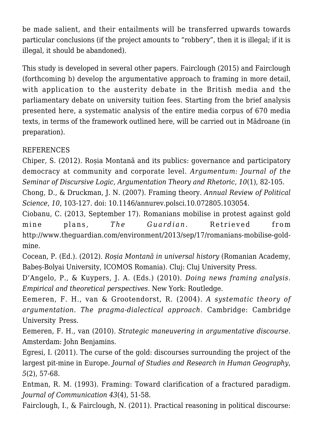be made salient, and their entailments will be transferred upwards towards particular conclusions (if the project amounts to "robbery", then it is illegal; if it is illegal, it should be abandoned).

This study is developed in several other papers. Fairclough (2015) and Fairclough (forthcoming b) develop the argumentative approach to framing in more detail, with application to the austerity debate in the British media and the parliamentary debate on university tuition fees. Starting from the brief analysis presented here, a systematic analysis of the entire media corpus of 670 media texts, in terms of the framework outlined here, will be carried out in Mădroane (in preparation).

# REFERENCES

Chiper, S. (2012). Roșia Montană and its publics: governance and participatory democracy at community and corporate level. *Argumentum: Journal of the Seminar of Discursive Logic, Argumentation Theory and Rhetoric*, *10*(1), 82-105.

Chong, D., & Druckman, J. N. (2007). Framing theory. *Annual Review of Political Science*, *10*, 103-127. doi: 10.1146/annurev.polsci.10.072805.103054.

Ciobanu, C. (2013, September 17). Romanians mobilise in protest against gold mine plans, *The Guardian*, Retrieved from http://www.theguardian.com/environment/2013/sep/17/romanians-mobilise-goldmine.

Cocean, P. (Ed.). (2012). *Roșia Montană in universal history* (Romanian Academy, Babeș-Bolyai University, ICOMOS Romania). Cluj: Cluj University Press.

D'Angelo, P., & Kuypers, J. A. (Eds.) (2010). *Doing news framing analysis. Empirical and theoretical perspectives.* New York: Routledge.

Eemeren, F. H., van & Grootendorst, R. (2004). *A systematic theory of argumentation. The pragma-dialectical approach*. Cambridge: Cambridge University Press.

Eemeren, F. H., van (2010). *Strategic maneuvering in argumentative discourse*. Amsterdam: John Benjamins.

Egresi, I. (2011). The curse of the gold: discourses surrounding the project of the largest pit-mine in Europe. *Journal of Studies and Research in Human Geography*, *5*(2), 57-68.

Entman, R. M. (1993). Framing: Toward clarification of a fractured paradigm. *Journal of Communication 43*(4), 51-58.

Fairclough, I., & Fairclough, N. (2011). Practical reasoning in political discourse: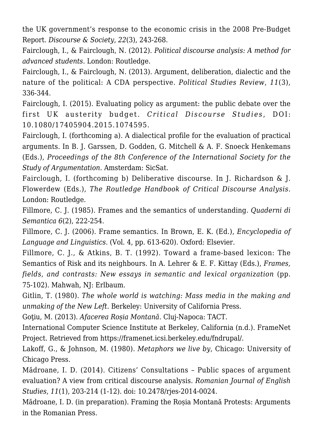the UK government's response to the economic crisis in the 2008 Pre-Budget Report. *Discourse & Society*, *22*(3), 243-268.

Fairclough, I., & Fairclough, N. (2012). *Political discourse analysis: A method for advanced students*. London: Routledge.

Fairclough, I., & Fairclough, N. (2013). Argument, deliberation, dialectic and the nature of the political: A CDA perspective. *Political Studies Review*, *11*(3), 336-344.

Fairclough, I. (2015). Evaluating policy as argument: the public debate over the first UK austerity budget. *Critical Discourse Studies* , DOI: 10.1080/17405904.2015.1074595.

Fairclough, I. (forthcoming a). A dialectical profile for the evaluation of practical arguments. In B. J. Garssen, D. Godden, G. Mitchell & A. F. Snoeck Henkemans (Eds.), *Proceedings of the 8th Conference of the International Society for the Study of Argumentation.* Amsterdam: SicSat.

Fairclough, I. (forthcoming b) Deliberative discourse. In J. Richardson & J. Flowerdew (Eds.), *The Routledge Handbook of Critical Discourse Analysis*. London: Routledge.

Fillmore, C. J. (1985). Frames and the semantics of understanding. *Quaderni di Semantica 6*(2), 222-254.

Fillmore, C. J. (2006). Frame semantics. In Brown, E. K. (Ed.), *Encyclopedia of Language and Linguistics*. (Vol. 4, pp. 613-620). Oxford: Elsevier.

Fillmore, C. J., & Atkins, B. T. (1992). Toward a frame-based lexicon: The Semantics of Risk and its neighbours. In A. Lehrer & E. F. Kittay (Eds.), *Frames, fields, and contrasts: New essays in semantic and lexical organization (pp.* 75-102). Mahwah, NJ: Erlbaum.

Gitlin, T. (1980). *The whole world is watching: Mass media in the making and unmaking of the New Left*. Berkeley: University of California Press.

Goţiu, M. (2013). *Afacerea Roșia Montană*. Cluj-Napoca: TACT.

International Computer Science Institute at Berkeley, California (n.d.). FrameNet Project. Retrieved from https://framenet.icsi.berkeley.edu/fndrupal/.

Lakoff, G., & Johnson, M. (1980). *Metaphors we live by,* Chicago: University of Chicago Press.

Mădroane, I. D. (2014). Citizens' Consultations – Public spaces of argument evaluation? A view from critical discourse analysis. *Romanian Journal of English Studies*, *11*(1), 203-214 (1-12). doi: 10.2478/rjes-2014-0024.

Mădroane, I. D. (in preparation). Framing the Roșia Montană Protests: Arguments in the Romanian Press.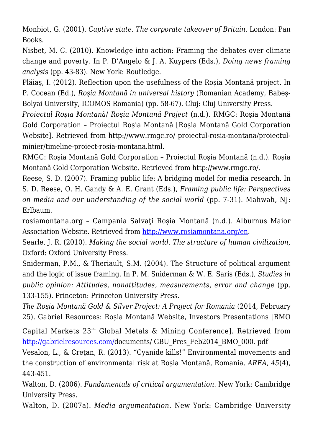Monbiot, G. (2001). *Captive state. The corporate takeover of Britain.* London: Pan Books.

Nisbet, M. C. (2010). Knowledge into action: Framing the debates over climate change and poverty. In P. D'Angelo & J. A. Kuypers (Eds.), *Doing news framing analysis* (pp. 43-83). New York: Routledge.

Plăiaș, I. (2012). Reflection upon the usefulness of the Roșia Montană project. In P. Cocean (Ed.), *Roșia Montană in universal history* (Romanian Academy, Babeș-Bolyai University, ICOMOS Romania) (pp. 58-67). Cluj: Cluj University Press.

*Proiectul Roșia Montană*/ *Roșia Montană Project* (n.d.). RMGC: Roșia Montană Gold Corporation – Proiectul Roșia Montană [Roșia Montană Gold Corporation Website]. Retrieved from http://www.rmgc.ro/ proiectul-rosia-montana/proiectulminier/timeline-proiect-rosia-montana.html.

RMGC: Roșia Montană Gold Corporation – Proiectul Roșia Montană (n.d.). Roșia Montană Gold Corporation Website. Retrieved from http://www.rmgc.ro/.

Reese, S. D. (2007). Framing public life: A bridging model for media research. In S. D. Reese, O. H. Gandy & A. E. Grant (Eds.), *Framing public life: Perspectives on media and our understanding of the social world* (pp. 7-31). Mahwah, NJ: Erlbaum.

rosiamontana.org – Campania Salvaţi Roșia Montană (n.d.). Alburnus Maior Association Website. Retrieved from [http://www.rosiamontana.org/en.](http://www.rosiamontana.org/en)

Searle, J. R. (2010). *Making the social world. The structure of human civilization,* Oxford: Oxford University Press.

Sniderman, P.M., & Theriault, S.M. (2004). The Structure of political argument and the logic of issue framing. In P. M. Sniderman & W. E. Saris (Eds.), *Studies in public opinion: Attitudes, nonattitudes, measurements, error and change* (pp. 133-155). Princeton: Princeton University Press.

*The Roșia Montană Gold & Silver Project: A Project for Romania* (2014, February 25). Gabriel Resources: Roșia Montană Website, Investors Presentations [BMO

Capital Markets 23rd Global Metals & Mining Conference]. Retrieved from [http://gabrielresources.com/d](http://gabrielresources.com/)ocuments/ GBU\_Pres\_Feb2014\_BMO\_000. pdf

Vesalon, L., & Creţan, R. (2013). "Cyanide kills!" Environmental movements and the construction of environmental risk at Roșia Montană, Romania. *AREA*, *45*(4), 443-451.

Walton, D. (2006). *Fundamentals of critical argumentation*. New York: Cambridge University Press.

Walton, D. (2007a). *Media argumentation*. New York: Cambridge University